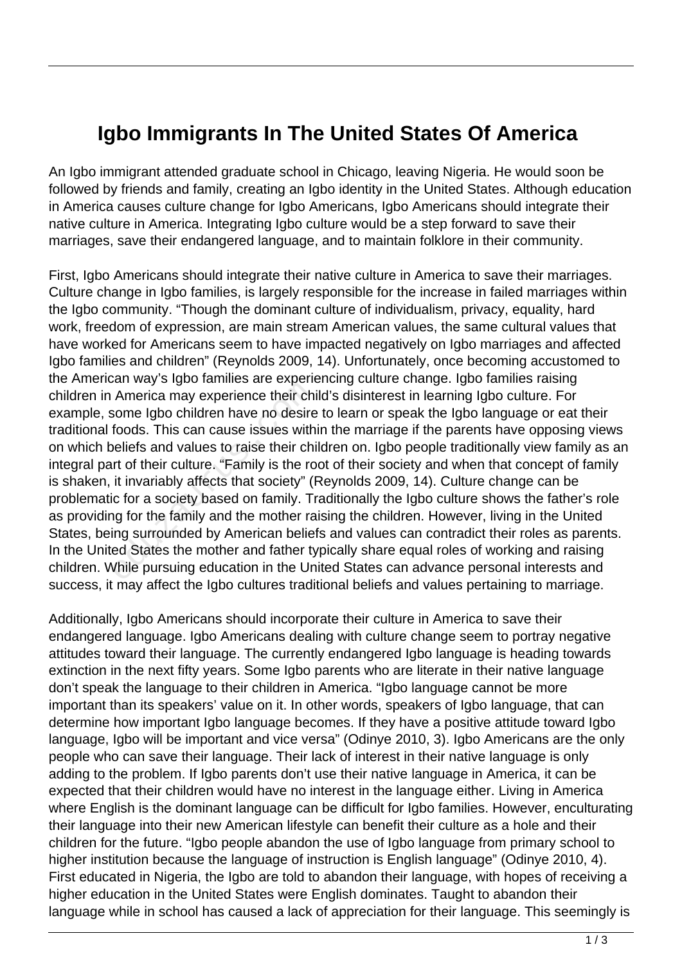## **Igbo Immigrants In The United States Of America**

An Igbo immigrant attended graduate school in Chicago, leaving Nigeria. He would soon be followed by friends and family, creating an Igbo identity in the United States. Although education in America causes culture change for Igbo Americans, Igbo Americans should integrate their native culture in America. Integrating Igbo culture would be a step forward to save their marriages, save their endangered language, and to maintain folklore in their community.

First, Igbo Americans should integrate their native culture in America to save their marriages. Culture change in Igbo families, is largely responsible for the increase in failed marriages within the Igbo community. "Though the dominant culture of individualism, privacy, equality, hard work, freedom of expression, are main stream American values, the same cultural values that have worked for Americans seem to have impacted negatively on Igbo marriages and affected Igbo families and children" (Reynolds 2009, 14). Unfortunately, once becoming accustomed to the American way's Igbo families are experiencing culture change. Igbo families raising children in America may experience their child's disinterest in learning Igbo culture. For example, some Igbo children have no desire to learn or speak the Igbo language or eat their traditional foods. This can cause issues within the marriage if the parents have opposing views on which beliefs and values to raise their children on. Igbo people traditionally view family as an integral part of their culture. "Family is the root of their society and when that concept of family is shaken, it invariably affects that society" (Reynolds 2009, 14). Culture change can be problematic for a society based on family. Traditionally the Igbo culture shows the father's role as providing for the family and the mother raising the children. However, living in the United States, being surrounded by American beliefs and values can contradict their roles as parents. In the United States the mother and father typically share equal roles of working and raising children. While pursuing education in the United States can advance personal interests and success, it may affect the Igbo cultures traditional beliefs and values pertaining to marriage. America may experience their chips<br>
some Igbo children have no desire<br>
foods. This can cause issues with<br>
beliefs and values to raise their chi<br>
rt of their culture. "Family is the ro<br>
it invariably affects that society" (

Additionally, Igbo Americans should incorporate their culture in America to save their endangered language. Igbo Americans dealing with culture change seem to portray negative attitudes toward their language. The currently endangered Igbo language is heading towards extinction in the next fifty years. Some Igbo parents who are literate in their native language don't speak the language to their children in America. "Igbo language cannot be more important than its speakers' value on it. In other words, speakers of Igbo language, that can determine how important Igbo language becomes. If they have a positive attitude toward Igbo language, Igbo will be important and vice versa" (Odinye 2010, 3). Igbo Americans are the only people who can save their language. Their lack of interest in their native language is only adding to the problem. If Igbo parents don't use their native language in America, it can be expected that their children would have no interest in the language either. Living in America where English is the dominant language can be difficult for Igbo families. However, enculturating their language into their new American lifestyle can benefit their culture as a hole and their children for the future. "Igbo people abandon the use of Igbo language from primary school to higher institution because the language of instruction is English language" (Odinye 2010, 4). First educated in Nigeria, the Igbo are told to abandon their language, with hopes of receiving a higher education in the United States were English dominates. Taught to abandon their language while in school has caused a lack of appreciation for their language. This seemingly is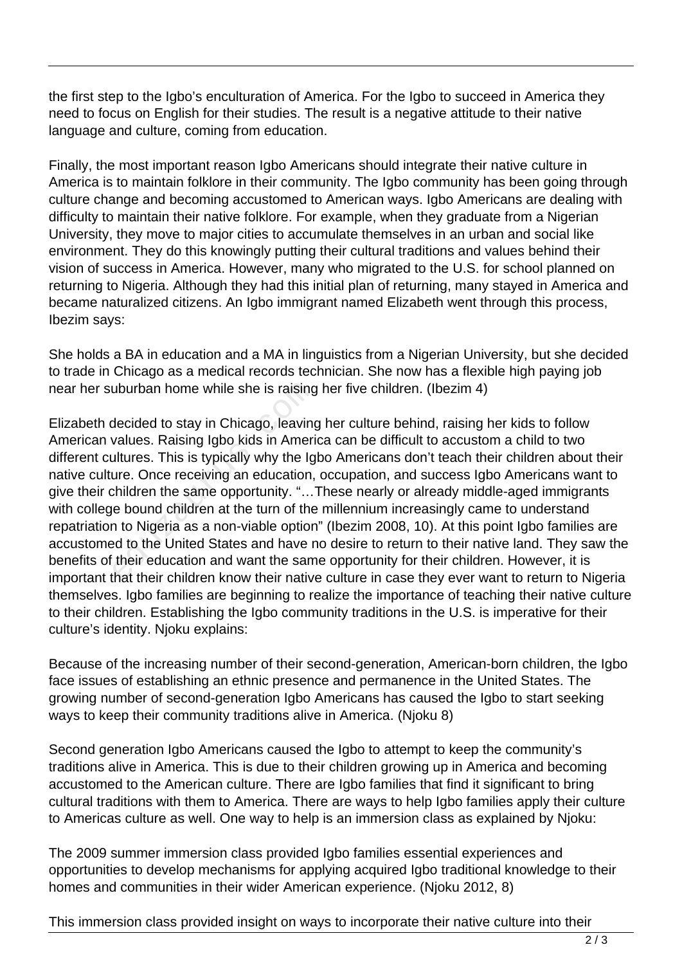the first step to the Igbo's enculturation of America. For the Igbo to succeed in America they need to focus on English for their studies. The result is a negative attitude to their native language and culture, coming from education.

Finally, the most important reason Igbo Americans should integrate their native culture in America is to maintain folklore in their community. The Igbo community has been going through culture change and becoming accustomed to American ways. Igbo Americans are dealing with difficulty to maintain their native folklore. For example, when they graduate from a Nigerian University, they move to major cities to accumulate themselves in an urban and social like environment. They do this knowingly putting their cultural traditions and values behind their vision of success in America. However, many who migrated to the U.S. for school planned on returning to Nigeria. Although they had this initial plan of returning, many stayed in America and became naturalized citizens. An Igbo immigrant named Elizabeth went through this process, Ibezim says:

She holds a BA in education and a MA in linguistics from a Nigerian University, but she decided to trade in Chicago as a medical records technician. She now has a flexible high paying job near her suburban home while she is raising her five children. (Ibezim 4)

Elizabeth decided to stay in Chicago, leaving her culture behind, raising her kids to follow American values. Raising Igbo kids in America can be difficult to accustom a child to two different cultures. This is typically why the Igbo Americans don't teach their children about their native culture. Once receiving an education, occupation, and success Igbo Americans want to give their children the same opportunity. "…These nearly or already middle-aged immigrants with college bound children at the turn of the millennium increasingly came to understand repatriation to Nigeria as a non-viable option" (Ibezim 2008, 10). At this point Igbo families are accustomed to the United States and have no desire to return to their native land. They saw the benefits of their education and want the same opportunity for their children. However, it is important that their children know their native culture in case they ever want to return to Nigeria themselves. Igbo families are beginning to realize the importance of teaching their native culture to their children. Establishing the Igbo community traditions in the U.S. is imperative for their culture's identity. Njoku explains: uburban home while she is raising<br>decided to stay in Chicago, leaving<br>values. Raising Igbo kids in Ameri<br>ultures. This is typically why the Ig<br>ure. Once receiving an education,<br>children the same opportunity. "...<br>e bound c

Because of the increasing number of their second-generation, American-born children, the Igbo face issues of establishing an ethnic presence and permanence in the United States. The growing number of second-generation Igbo Americans has caused the Igbo to start seeking ways to keep their community traditions alive in America. (Njoku 8)

Second generation Igbo Americans caused the Igbo to attempt to keep the community's traditions alive in America. This is due to their children growing up in America and becoming accustomed to the American culture. There are Igbo families that find it significant to bring cultural traditions with them to America. There are ways to help Igbo families apply their culture to Americas culture as well. One way to help is an immersion class as explained by Njoku:

The 2009 summer immersion class provided Igbo families essential experiences and opportunities to develop mechanisms for applying acquired Igbo traditional knowledge to their homes and communities in their wider American experience. (Njoku 2012, 8)

This immersion class provided insight on ways to incorporate their native culture into their